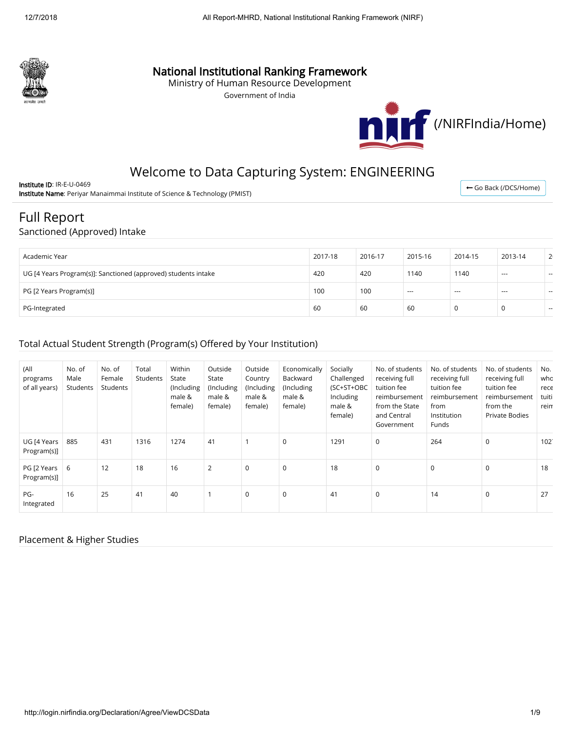

# National Institutional Ranking Framework

Ministry of Human Resource Development

Government of India



← [Go Back \(/DCS/Home\)](http://login.nirfindia.org/DCS/Home)

# Welcome to Data Capturing System: ENGINEERING

Institute ID: IR-E-U-0469 Institute Name: Periyar Manaimmai Institute of Science & Technology (PMIST)

# Full Report

#### Sanctioned (Approved) Intake

| Academic Year                                                  | 2017-18 | 2016-17 | 2015-16 | 2014-15  | 2013-14 | 2 <sup>i</sup> |
|----------------------------------------------------------------|---------|---------|---------|----------|---------|----------------|
| UG [4 Years Program(s)]: Sanctioned (approved) students intake | 420     | 420     | 1140    | 1140     | ---     | $\sim$         |
| PG [2 Years Program(s)]                                        | 100     | 100     | $---$   | $\cdots$ | ---     | $\sim$         |
| PG-Integrated                                                  | 60      | 60      | 60      | 0        | 0       | $- -$          |

## Total Actual Student Strength (Program(s) Offered by Your Institution)

| (All<br>programs<br>of all years) | No. of<br>Male<br>Students | No. of<br>Female<br>Students | Total<br>Students | Within<br>State<br>(Including<br>male &<br>female) | Outside<br>State<br>(Including<br>male &<br>female) | Outside<br>Country<br>(Including<br>male &<br>female) | Economically<br>Backward<br>(Including<br>male &<br>female) | Socially<br>Challenged<br>(SC+ST+OBC<br>Including<br>male &<br>female) | No. of students<br>receiving full<br>tuition fee<br>reimbursement<br>from the State<br>and Central<br>Government | No. of students<br>receiving full<br>tuition fee<br>reimbursement<br>from<br>Institution<br>Funds | No. of students<br>receiving full<br>tuition fee<br>reimbursement<br>from the<br><b>Private Bodies</b> | No.<br>who<br>rece<br>tuiti<br>reim |
|-----------------------------------|----------------------------|------------------------------|-------------------|----------------------------------------------------|-----------------------------------------------------|-------------------------------------------------------|-------------------------------------------------------------|------------------------------------------------------------------------|------------------------------------------------------------------------------------------------------------------|---------------------------------------------------------------------------------------------------|--------------------------------------------------------------------------------------------------------|-------------------------------------|
| UG [4 Years<br>Program(s)]        | 885                        | 431                          | 1316              | 1274                                               | 41                                                  |                                                       | 0                                                           | 1291                                                                   | $\mathbf 0$                                                                                                      | 264                                                                                               | $\mathbf 0$                                                                                            | 102.                                |
| PG [2 Years<br>Program(s)]        | 6                          | 12                           | 18                | 16                                                 | 2                                                   | $\mathbf 0$                                           | 0                                                           | 18                                                                     | $\mathbf 0$                                                                                                      | 0                                                                                                 | $\mathbf 0$                                                                                            | 18                                  |
| PG-<br>Integrated                 | 16                         | 25                           | 41                | 40                                                 |                                                     | $\mathbf 0$                                           | $\mathbf 0$                                                 | 41                                                                     | $\mathbf 0$                                                                                                      | 14                                                                                                | $\mathbf 0$                                                                                            | 27                                  |

### Placement & Higher Studies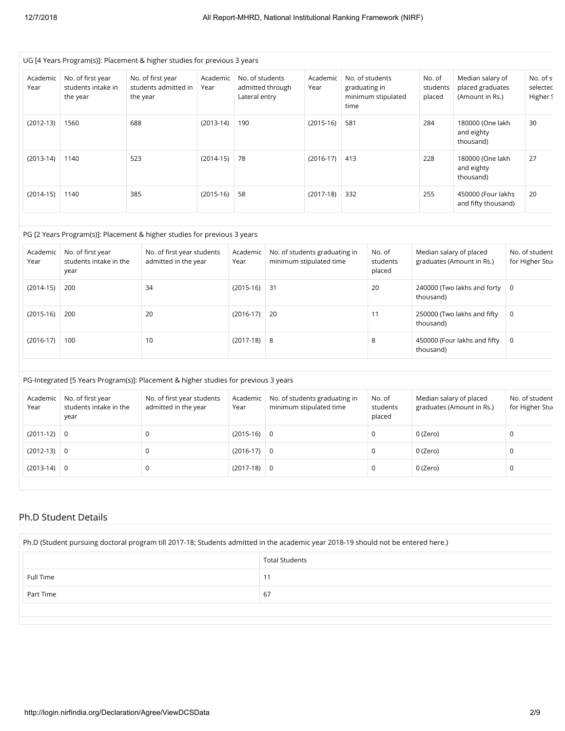|                  |                                                     | UG [4 Years Program(s)]: Placement & higher studies for previous 3 years |                  |                                  |                  |                                                          |                       |                                       |                              |                                                         |                                   |
|------------------|-----------------------------------------------------|--------------------------------------------------------------------------|------------------|----------------------------------|------------------|----------------------------------------------------------|-----------------------|---------------------------------------|------------------------------|---------------------------------------------------------|-----------------------------------|
| Academic<br>Year | No. of first year<br>students intake in<br>the year | No. of first year<br>students admitted in<br>the year                    | Academic<br>Year | No. of students<br>Lateral entry | admitted through | Academic<br>Year                                         | graduating in<br>time | No. of students<br>minimum stipulated | No. of<br>students<br>placed | Median salary of<br>placed graduates<br>(Amount in Rs.) | No. of st<br>selected<br>Higher S |
| $(2012-13)$      | 1560                                                | 688                                                                      | $(2013-14)$      | 190                              |                  | $(2015-16)$                                              | 581                   |                                       | 284                          | 180000 (One lakh<br>and eighty<br>thousand)             | 30                                |
| $(2013-14)$      | 1140                                                | 523                                                                      | $(2014-15)$      | 78                               |                  | $(2016-17)$                                              | 413                   |                                       | 228                          | 180000 (One lakh<br>and eighty<br>thousand)             | 27                                |
| $(2014-15)$      | 1140                                                | 385                                                                      | $(2015-16)$      | 58                               |                  | $(2017-18)$                                              | 332                   |                                       | 255                          | 450000 (Four lakhs<br>and fifty thousand)               | 20                                |
|                  |                                                     | PG [2 Years Program(s)]: Placement & higher studies for previous 3 years |                  |                                  |                  |                                                          |                       |                                       |                              |                                                         |                                   |
| Academic<br>Year | No. of first year<br>students intake in the<br>year | No. of first year students<br>admitted in the year                       |                  | Academic<br>Year                 |                  | No. of students graduating in<br>minimum stipulated time |                       | No. of<br>students<br>placed          | Median salary of placed      | graduates (Amount in Rs.)                               | No. of student<br>for Higher Stur |
|                  |                                                     |                                                                          |                  |                                  |                  |                                                          |                       |                                       |                              |                                                         |                                   |

| $(2014-15)$ | 200 | 34 | $(2015-16)$ 31 | 20 | 240000 (Two lakhs and forty $\vert 0 \rangle$<br>thousand) |     |
|-------------|-----|----|----------------|----|------------------------------------------------------------|-----|
| $(2015-16)$ | 200 | 20 | $(2016-17)$ 20 | 11 | 250000 (Two lakhs and fifty<br>thousand)                   | ∣ O |
| $(2016-17)$ | 100 | 10 | $(2017-18)$ 8  | 8  | 450000 (Four lakhs and fifty $\vert 0 \vert$<br>thousand)  |     |

#### PG-Integrated [5 Years Program(s)]: Placement & higher studies for previous 3 years

| Academic<br>Year | No. of first year<br>students intake in the<br>year | No. of first year students<br>admitted in the year | Academic<br>Year | No. of students graduating in<br>minimum stipulated time | No. of<br>students<br>placed | Median salary of placed<br>graduates (Amount in Rs.) | No. of student<br>for Higher Stur |
|------------------|-----------------------------------------------------|----------------------------------------------------|------------------|----------------------------------------------------------|------------------------------|------------------------------------------------------|-----------------------------------|
| $(2011-12)$      | 0                                                   |                                                    | $(2015-16)$ 0    |                                                          | 0                            | 0 (Zero)                                             | J.                                |
| $(2012-13)$      | 0                                                   |                                                    | $(2016-17)$ 0    |                                                          | 0                            | 0 (Zero)                                             | <sup>-</sup>                      |
| $(2013-14)$      | 0                                                   |                                                    | $(2017-18)$ 0    |                                                          | 0                            | 0 (Zero)                                             | <sup>-</sup>                      |

#### Ph.D Student Details

| Ph.D (Student pursuing doctoral program till 2017-18; Students admitted in the academic year 2018-19 should not be entered here.) |    |  |  |  |  |  |  |
|-----------------------------------------------------------------------------------------------------------------------------------|----|--|--|--|--|--|--|
| <b>Total Students</b>                                                                                                             |    |  |  |  |  |  |  |
| Full Time                                                                                                                         | 11 |  |  |  |  |  |  |
| 67<br>Part Time                                                                                                                   |    |  |  |  |  |  |  |
|                                                                                                                                   |    |  |  |  |  |  |  |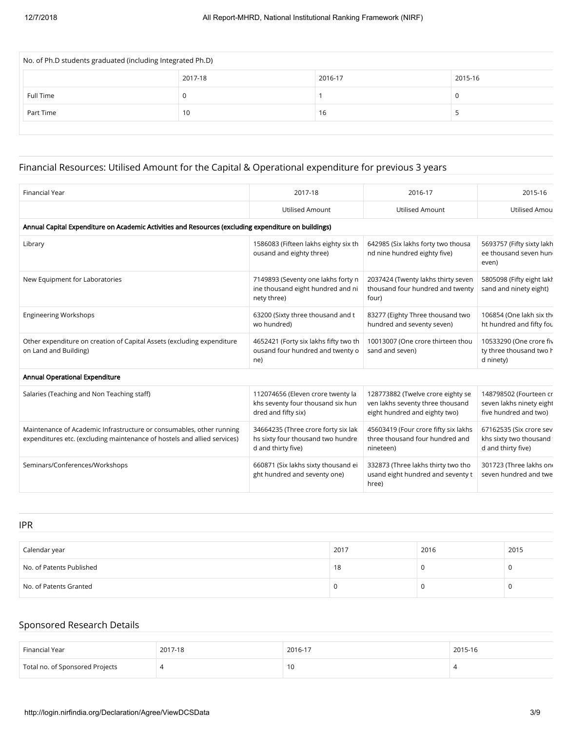| No. of Ph.D students graduated (including Integrated Ph.D) |         |         |         |  |  |  |  |
|------------------------------------------------------------|---------|---------|---------|--|--|--|--|
|                                                            | 2017-18 | 2016-17 | 2015-16 |  |  |  |  |
| Full Time                                                  |         |         |         |  |  |  |  |
| Part Time                                                  | 10      | 16      |         |  |  |  |  |
|                                                            |         |         |         |  |  |  |  |

# Financial Resources: Utilised Amount for the Capital & Operational expenditure for previous 3 years

| <b>Financial Year</b>                                                                                                                            | 2017-18                                                                                        | 2016-17                                                                                                | 2015-16                                                                     |
|--------------------------------------------------------------------------------------------------------------------------------------------------|------------------------------------------------------------------------------------------------|--------------------------------------------------------------------------------------------------------|-----------------------------------------------------------------------------|
|                                                                                                                                                  | <b>Utilised Amount</b>                                                                         | <b>Utilised Amount</b>                                                                                 | Utilised Amou                                                               |
| Annual Capital Expenditure on Academic Activities and Resources (excluding expenditure on buildings)                                             |                                                                                                |                                                                                                        |                                                                             |
| Library                                                                                                                                          | 1586083 (Fifteen lakhs eighty six th<br>ousand and eighty three)                               | 642985 (Six lakhs forty two thousa<br>nd nine hundred eighty five)                                     | 5693757 (Fifty sixty lakh<br>ee thousand seven hun<br>even)                 |
| New Equipment for Laboratories                                                                                                                   | 7149893 (Seventy one lakhs forty n<br>ine thousand eight hundred and ni<br>nety three)         | 2037424 (Twenty lakhs thirty seven<br>thousand four hundred and twenty<br>four)                        | 5805098 (Fifty eight lakh<br>sand and ninety eight)                         |
| <b>Engineering Workshops</b>                                                                                                                     | 63200 (Sixty three thousand and t<br>wo hundred)                                               | 83277 (Eighty Three thousand two<br>hundred and seventy seven)                                         | 106854 (One lakh six the<br>ht hundred and fifty fou                        |
| Other expenditure on creation of Capital Assets (excluding expenditure<br>on Land and Building)                                                  | 4652421 (Forty six lakhs fifty two th<br>ousand four hundred and twenty o<br>ne)               | 10013007 (One crore thirteen thou<br>sand and seven)                                                   | 10533290 (One crore fiv<br>ty three thousand two h<br>d ninety)             |
| Annual Operational Expenditure                                                                                                                   |                                                                                                |                                                                                                        |                                                                             |
| Salaries (Teaching and Non Teaching staff)                                                                                                       | 112074656 (Eleven crore twenty la<br>khs seventy four thousand six hun<br>dred and fifty six)  | 128773882 (Twelve crore eighty se<br>ven lakhs seventy three thousand<br>eight hundred and eighty two) | 148798502 (Fourteen cr<br>seven lakhs ninety eight<br>five hundred and two) |
| Maintenance of Academic Infrastructure or consumables, other running<br>expenditures etc. (excluding maintenance of hostels and allied services) | 34664235 (Three crore forty six lak<br>hs sixty four thousand two hundre<br>d and thirty five) | 45603419 (Four crore fifty six lakhs<br>three thousand four hundred and<br>nineteen)                   | 67162535 (Six crore sev<br>khs sixty two thousand<br>d and thirty five)     |
| Seminars/Conferences/Workshops                                                                                                                   | 660871 (Six lakhs sixty thousand ei<br>ght hundred and seventy one)                            | 332873 (Three lakhs thirty two tho<br>usand eight hundred and seventy t<br>hree)                       | 301723 (Three lakhs on<br>seven hundred and twe                             |

IPR

| .                        |      |      |      |
|--------------------------|------|------|------|
|                          |      |      |      |
| Calendar year            | 2017 | 2016 | 2015 |
| No. of Patents Published | 18   |      |      |
| No. of Patents Granted   |      |      |      |

## Sponsored Research Details

| Financial Year                  | 2017-18 | 2016-17 | 2015-16 |
|---------------------------------|---------|---------|---------|
| Total no. of Sponsored Projects |         | 10      |         |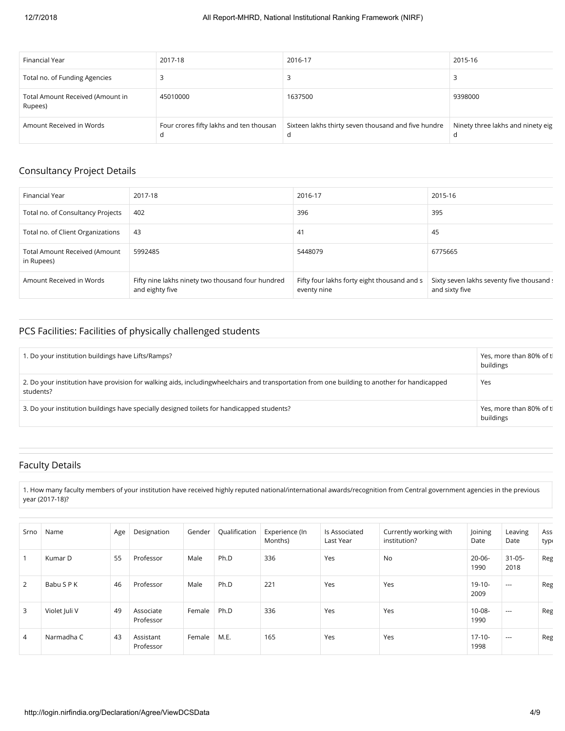| Financial Year                              | 2017-18                                 | 2016-17                                                  | 2015-16                           |
|---------------------------------------------|-----------------------------------------|----------------------------------------------------------|-----------------------------------|
| Total no. of Funding Agencies               |                                         |                                                          |                                   |
| Total Amount Received (Amount in<br>Rupees) | 45010000                                | 1637500                                                  | 9398000                           |
| Amount Received in Words                    | Four crores fifty lakhs and ten thousan | Sixteen lakhs thirty seven thousand and five hundre<br>d | Ninety three lakhs and ninety eig |

### Consultancy Project Details

| Financial Year                                     | 2017-18                                                              | 2016-17                                                    | 2015-16                                                     |
|----------------------------------------------------|----------------------------------------------------------------------|------------------------------------------------------------|-------------------------------------------------------------|
| Total no. of Consultancy Projects                  | 402                                                                  | 396                                                        | 395                                                         |
| Total no. of Client Organizations                  | 43                                                                   | 41                                                         | 45                                                          |
| <b>Total Amount Received (Amount</b><br>in Rupees) | 5992485                                                              | 5448079                                                    | 6775665                                                     |
| Amount Received in Words                           | Fifty nine lakhs ninety two thousand four hundred<br>and eighty five | Fifty four lakhs forty eight thousand and s<br>eventy nine | Sixty seven lakhs seventy five thousand s<br>and sixty five |

## PCS Facilities: Facilities of physically challenged students

| 1. Do your institution buildings have Lifts/Ramps?                                                                                                        | Yes, more than 80% of tl<br>buildings |
|-----------------------------------------------------------------------------------------------------------------------------------------------------------|---------------------------------------|
| 2. Do your institution have provision for walking aids, includingwheelchairs and transportation from one building to another for handicapped<br>students? | Yes                                   |
| 3. Do your institution buildings have specially designed toilets for handicapped students?                                                                | Yes, more than 80% of tl<br>buildings |

## Faculty Details

1. How many faculty members of your institution have received highly reputed national/international awards/recognition from Central government agencies in the previous year (2017-18)?

| Srno | Name          | Age | Designation            | Gender | Qualification | Experience (In<br>Months) | Is Associated<br>Last Year | Currently working with<br>institution? | Joining<br>Date     | Leaving<br>Date     | Ass <sub>1</sub><br>type |
|------|---------------|-----|------------------------|--------|---------------|---------------------------|----------------------------|----------------------------------------|---------------------|---------------------|--------------------------|
| 1    | Kumar D       | 55  | Professor              | Male   | Ph.D          | 336                       | Yes                        | No                                     | $20 - 06 -$<br>1990 | $31 - 05 -$<br>2018 | Reg                      |
| 2    | Babu S P K    | 46  | Professor              | Male   | Ph.D          | 221                       | Yes                        | Yes                                    | $19-10-$<br>2009    | $---$               | Reg                      |
| 3    | Violet Juli V | 49  | Associate<br>Professor | Female | Ph.D          | 336                       | Yes                        | Yes                                    | $10-08-$<br>1990    | $---$               | Reg                      |
| 4    | Narmadha C    | 43  | Assistant<br>Professor | Female | M.E.          | 165                       | Yes                        | Yes                                    | $17-10-$<br>1998    | $---$               | Reg                      |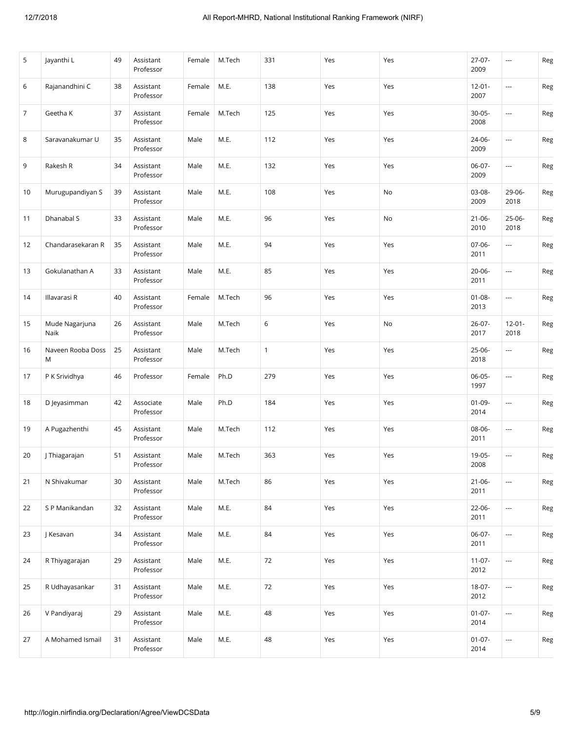| 5              | Jayanthi L             | 49 | Assistant<br>Professor | Female | M.Tech | 331          | Yes | Yes | $27-07-$<br>2009    | $\cdots$                 | Reg |
|----------------|------------------------|----|------------------------|--------|--------|--------------|-----|-----|---------------------|--------------------------|-----|
| 6              | Rajanandhini C         | 38 | Assistant<br>Professor | Female | M.E.   | 138          | Yes | Yes | $12 - 01 -$<br>2007 | ---                      | Reg |
| $\overline{7}$ | Geetha K               | 37 | Assistant<br>Professor | Female | M.Tech | 125          | Yes | Yes | $30 - 05 -$<br>2008 | ---                      | Reg |
| 8              | Saravanakumar U        | 35 | Assistant<br>Professor | Male   | M.E.   | 112          | Yes | Yes | 24-06-<br>2009      | ---                      | Reg |
| 9              | Rakesh R               | 34 | Assistant<br>Professor | Male   | M.E.   | 132          | Yes | Yes | 06-07-<br>2009      | ---                      | Reg |
| 10             | Murugupandiyan S       | 39 | Assistant<br>Professor | Male   | M.E.   | 108          | Yes | No  | 03-08-<br>2009      | 29-06-<br>2018           | Reg |
| 11             | Dhanabal S             | 33 | Assistant<br>Professor | Male   | M.E.   | 96           | Yes | No  | $21 - 06 -$<br>2010 | $25-06-$<br>2018         | Reg |
| 12             | Chandarasekaran R      | 35 | Assistant<br>Professor | Male   | M.E.   | 94           | Yes | Yes | 07-06-<br>2011      | ---                      | Reg |
| 13             | Gokulanathan A         | 33 | Assistant<br>Professor | Male   | M.E.   | 85           | Yes | Yes | $20 - 06 -$<br>2011 | ---                      | Reg |
| 14             | Illavarasi R           | 40 | Assistant<br>Professor | Female | M.Tech | 96           | Yes | Yes | $01 - 08 -$<br>2013 | ---                      | Reg |
| 15             | Mude Nagarjuna<br>Naik | 26 | Assistant<br>Professor | Male   | M.Tech | 6            | Yes | No  | 26-07-<br>2017      | $12 - 01 -$<br>2018      | Reg |
| 16             | Naveen Rooba Doss<br>M | 25 | Assistant<br>Professor | Male   | M.Tech | $\mathbf{1}$ | Yes | Yes | 25-06-<br>2018      | ---                      | Reg |
| 17             | P K Srividhya          | 46 | Professor              | Female | Ph.D   | 279          | Yes | Yes | 06-05-<br>1997      | $\cdots$                 | Reg |
| 18             | D Jeyasimman           | 42 | Associate<br>Professor | Male   | Ph.D   | 184          | Yes | Yes | $01-09-$<br>2014    | ---                      | Reg |
| 19             | A Pugazhenthi          | 45 | Assistant<br>Professor | Male   | M.Tech | 112          | Yes | Yes | 08-06-<br>2011      | ---                      | Reg |
| 20             | J Thiagarajan          | 51 | Assistant<br>Professor | Male   | M.Tech | 363          | Yes | Yes | 19-05-<br>2008      | $\overline{\phantom{a}}$ | Reg |
| 21             | N Shivakumar           | 30 | Assistant<br>Professor | Male   | M.Tech | 86           | Yes | Yes | $21 - 06 -$<br>2011 | ---                      | Reg |
| 22             | S P Manikandan         | 32 | Assistant<br>Professor | Male   | M.E.   | 84           | Yes | Yes | 22-06-<br>2011      | ---                      | Reg |
| 23             | J Kesavan              | 34 | Assistant<br>Professor | Male   | M.E.   | 84           | Yes | Yes | $06-07-$<br>2011    | ---                      | Reg |
| 24             | R Thiyagarajan         | 29 | Assistant<br>Professor | Male   | M.E.   | 72           | Yes | Yes | $11-07-$<br>2012    | ---                      | Reg |
| 25             | R Udhayasankar         | 31 | Assistant<br>Professor | Male   | M.E.   | 72           | Yes | Yes | 18-07-<br>2012      | ---                      | Reg |
| 26             | V Pandiyaraj           | 29 | Assistant<br>Professor | Male   | M.E.   | 48           | Yes | Yes | $01 - 07 -$<br>2014 | ---                      | Reg |
| 27             | A Mohamed Ismail       | 31 | Assistant<br>Professor | Male   | M.E.   | 48           | Yes | Yes | $01-07-$<br>2014    | $\cdots$                 | Reg |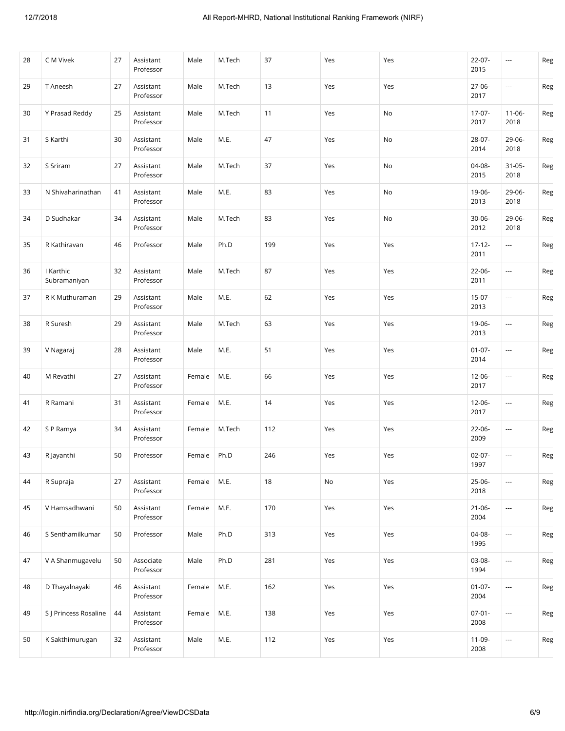| 28 | C M Vivek                 | 27 | Assistant<br>Professor | Male   | M.Tech | 37  | Yes | Yes | $22-07-$<br>2015    | ---                      | Reg            |
|----|---------------------------|----|------------------------|--------|--------|-----|-----|-----|---------------------|--------------------------|----------------|
| 29 | T Aneesh                  | 27 | Assistant<br>Professor | Male   | M.Tech | 13  | Yes | Yes | $27-06-$<br>2017    | $\cdots$                 | Reg            |
| 30 | Y Prasad Reddy            | 25 | Assistant<br>Professor | Male   | M.Tech | 11  | Yes | No  | $17-07-$<br>2017    | $11 - 06 -$<br>2018      | Reg            |
| 31 | S Karthi                  | 30 | Assistant<br>Professor | Male   | M.E.   | 47  | Yes | No  | 28-07-<br>2014      | 29-06-<br>2018           | Reg            |
| 32 | S Sriram                  | 27 | Assistant<br>Professor | Male   | M.Tech | 37  | Yes | No  | 04-08-<br>2015      | $31 - 05 -$<br>2018      | Reg            |
| 33 | N Shivaharinathan         | 41 | Assistant<br>Professor | Male   | M.E.   | 83  | Yes | No  | 19-06-<br>2013      | 29-06-<br>2018           | $\mathsf{Reg}$ |
| 34 | D Sudhakar                | 34 | Assistant<br>Professor | Male   | M.Tech | 83  | Yes | No  | $30 - 06 -$<br>2012 | 29-06-<br>2018           | Reg            |
| 35 | R Kathiravan              | 46 | Professor              | Male   | Ph.D   | 199 | Yes | Yes | $17 - 12 -$<br>2011 | ---                      | Reg            |
| 36 | I Karthic<br>Subramaniyan | 32 | Assistant<br>Professor | Male   | M.Tech | 87  | Yes | Yes | $22 - 06 -$<br>2011 | ---                      | Reg            |
| 37 | R K Muthuraman            | 29 | Assistant<br>Professor | Male   | M.E.   | 62  | Yes | Yes | $15-07-$<br>2013    | ---                      | Reg            |
| 38 | R Suresh                  | 29 | Assistant<br>Professor | Male   | M.Tech | 63  | Yes | Yes | 19-06-<br>2013      | $\overline{\phantom{a}}$ | Reg            |
| 39 | V Nagaraj                 | 28 | Assistant<br>Professor | Male   | M.E.   | 51  | Yes | Yes | $01 - 07 -$<br>2014 | ---                      | Reg            |
| 40 | M Revathi                 | 27 | Assistant<br>Professor | Female | M.E.   | 66  | Yes | Yes | $12 - 06 -$<br>2017 | ---                      | Reg            |
| 41 | R Ramani                  | 31 | Assistant<br>Professor | Female | M.E.   | 14  | Yes | Yes | $12 - 06 -$<br>2017 | $\cdots$                 | Reg            |
| 42 | S P Ramya                 | 34 | Assistant<br>Professor | Female | M.Tech | 112 | Yes | Yes | $22 - 06 -$<br>2009 | ---                      | Reg            |
| 43 | R Jayanthi                | 50 | Professor              | Female | Ph.D   | 246 | Yes | Yes | $02 - 07 -$<br>1997 | ---                      | Reg            |
| 44 | R Supraja                 | 27 | Assistant<br>Professor | Female | M.E.   | 18  | No  | Yes | 25-06-<br>2018      | ---                      | Reg            |
| 45 | V Hamsadhwani             | 50 | Assistant<br>Professor | Female | M.E.   | 170 | Yes | Yes | $21 - 06 -$<br>2004 | ---                      | Reg            |
| 46 | S Senthamilkumar          | 50 | Professor              | Male   | Ph.D   | 313 | Yes | Yes | $04-08-$<br>1995    |                          | Reg            |
| 47 | V A Shanmugavelu          | 50 | Associate<br>Professor | Male   | Ph.D   | 281 | Yes | Yes | 03-08-<br>1994      | ---                      | Reg            |
| 48 | D Thayalnayaki            | 46 | Assistant<br>Professor | Female | M.E.   | 162 | Yes | Yes | $01 - 07 -$<br>2004 | ---                      | Reg            |
| 49 | S J Princess Rosaline     | 44 | Assistant<br>Professor | Female | M.E.   | 138 | Yes | Yes | $07-01-$<br>2008    | ---                      | Reg            |
| 50 | K Sakthimurugan           | 32 | Assistant<br>Professor | Male   | M.E.   | 112 | Yes | Yes | 11-09-<br>2008      | ---                      | Reg            |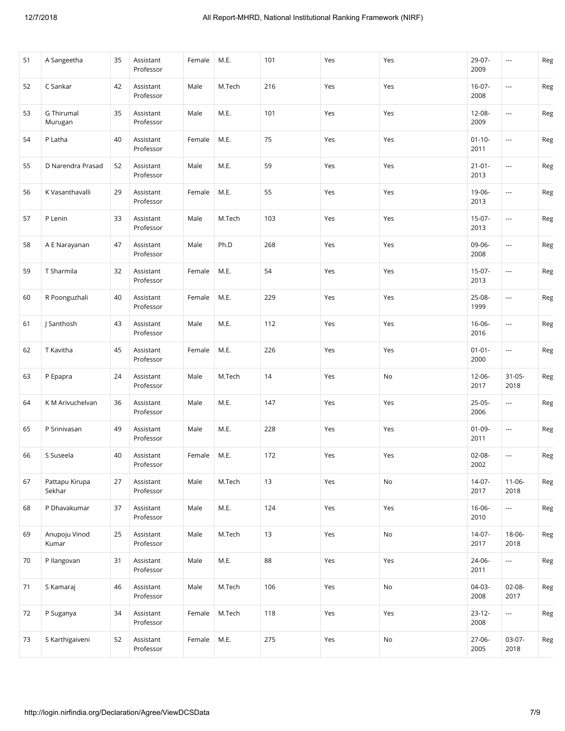| 51 | A Sangeetha                  | 35 | Assistant<br>Professor | Female | M.E.   | 101 | Yes | Yes | 29-07-<br>2009      | ---                      | Reg |
|----|------------------------------|----|------------------------|--------|--------|-----|-----|-----|---------------------|--------------------------|-----|
| 52 | C Sankar                     | 42 | Assistant<br>Professor | Male   | M.Tech | 216 | Yes | Yes | $16-07-$<br>2008    | $\overline{\phantom{a}}$ | Reg |
| 53 | <b>G</b> Thirumal<br>Murugan | 35 | Assistant<br>Professor | Male   | M.E.   | 101 | Yes | Yes | 12-08-<br>2009      | ---                      | Reg |
| 54 | P Latha                      | 40 | Assistant<br>Professor | Female | M.E.   | 75  | Yes | Yes | $01 - 10 -$<br>2011 | ---                      | Reg |
| 55 | D Narendra Prasad            | 52 | Assistant<br>Professor | Male   | M.E.   | 59  | Yes | Yes | $21 - 01 -$<br>2013 | $\overline{\phantom{a}}$ | Reg |
| 56 | K Vasanthavalli              | 29 | Assistant<br>Professor | Female | M.E.   | 55  | Yes | Yes | 19-06-<br>2013      | $\overline{\phantom{a}}$ | Reg |
| 57 | P Lenin                      | 33 | Assistant<br>Professor | Male   | M.Tech | 103 | Yes | Yes | $15-07-$<br>2013    | ---                      | Reg |
| 58 | A E Narayanan                | 47 | Assistant<br>Professor | Male   | Ph.D   | 268 | Yes | Yes | 09-06-<br>2008      | ---                      | Reg |
| 59 | T Sharmila                   | 32 | Assistant<br>Professor | Female | M.E.   | 54  | Yes | Yes | $15-07-$<br>2013    | ---                      | Reg |
| 60 | R Poonguzhali                | 40 | Assistant<br>Professor | Female | M.E.   | 229 | Yes | Yes | 25-08-<br>1999      | $\overline{\phantom{a}}$ | Reg |
| 61 | J Santhosh                   | 43 | Assistant<br>Professor | Male   | M.E.   | 112 | Yes | Yes | $16-06-$<br>2016    | $\overline{\phantom{a}}$ | Reg |
| 62 | T Kavitha                    | 45 | Assistant<br>Professor | Female | M.E.   | 226 | Yes | Yes | $01 - 01 -$<br>2000 | ---                      | Reg |
| 63 | P Epapra                     | 24 | Assistant<br>Professor | Male   | M.Tech | 14  | Yes | No  | 12-06-<br>2017      | $31 - 05 -$<br>2018      | Reg |
| 64 | K M Arivuchelvan             | 36 | Assistant<br>Professor | Male   | M.E.   | 147 | Yes | Yes | $25-05-$<br>2006    | $\cdots$                 | Reg |
| 65 | P Srinivasan                 | 49 | Assistant<br>Professor | Male   | M.E.   | 228 | Yes | Yes | $01 - 09 -$<br>2011 | $\overline{\phantom{a}}$ | Reg |
| 66 | S Suseela                    | 40 | Assistant<br>Professor | Female | M.E.   | 172 | Yes | Yes | 02-08-<br>2002      | ---                      | Reg |
| 67 | Pattapu Kirupa<br>Sekhar     | 27 | Assistant<br>Professor | Male   | M.Tech | 13  | Yes | No  | $14-07-$<br>2017    | $11-06-$<br>2018         | Reg |
| 68 | P Dhavakumar                 | 37 | Assistant<br>Professor | Male   | M.E.   | 124 | Yes | Yes | $16 - 06 -$<br>2010 | ---                      | Reg |
| 69 | Anupoju Vinod<br>Kumar       | 25 | Assistant<br>Professor | Male   | M.Tech | 13  | Yes | No  | $14-07-$<br>2017    | 18-06-<br>2018           | Reg |
| 70 | P llangovan                  | 31 | Assistant<br>Professor | Male   | M.E.   | 88  | Yes | Yes | 24-06-<br>2011      | ---                      | Reg |
| 71 | S Kamaraj                    | 46 | Assistant<br>Professor | Male   | M.Tech | 106 | Yes | No  | 04-03-<br>2008      | 02-08-<br>2017           | Reg |
| 72 | P Suganya                    | 34 | Assistant<br>Professor | Female | M.Tech | 118 | Yes | Yes | $23 - 12 -$<br>2008 | ---                      | Reg |
| 73 | S Karthigaiveni              | 52 | Assistant<br>Professor | Female | M.E.   | 275 | Yes | No  | $27-06-$<br>2005    | 03-07-<br>2018           | Reg |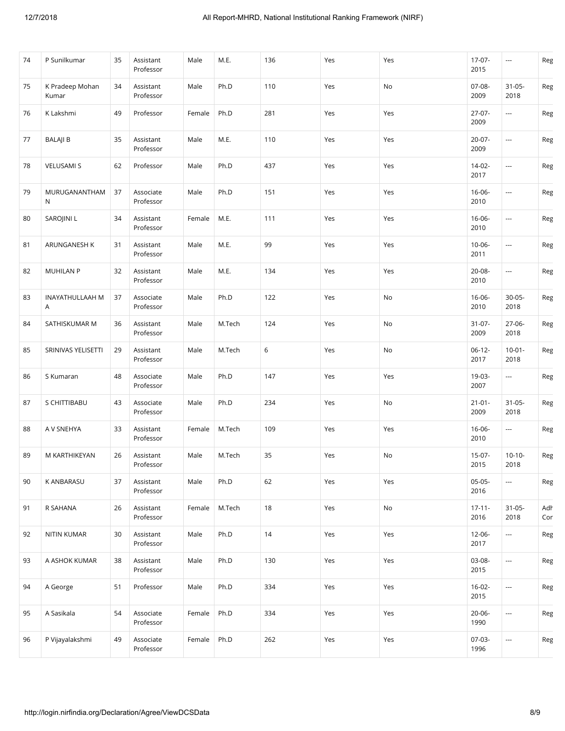| 74 | P Sunilkumar             | 35 | Assistant<br>Professor | Male   | M.E.   | 136    | Yes | Yes | $17-07-$<br>2015    | ---                      | Reg        |
|----|--------------------------|----|------------------------|--------|--------|--------|-----|-----|---------------------|--------------------------|------------|
| 75 | K Pradeep Mohan<br>Kumar | 34 | Assistant<br>Professor | Male   | Ph.D   | 110    | Yes | No  | 07-08-<br>2009      | $31 - 05 -$<br>2018      | Reg        |
| 76 | K Lakshmi                | 49 | Professor              | Female | Ph.D   | 281    | Yes | Yes | 27-07-<br>2009      |                          | Reg        |
| 77 | <b>BALAJI B</b>          | 35 | Assistant<br>Professor | Male   | M.E.   | 110    | Yes | Yes | $20-07-$<br>2009    | $\hspace{0.05cm}\ldots$  | Reg        |
| 78 | <b>VELUSAMI S</b>        | 62 | Professor              | Male   | Ph.D   | 437    | Yes | Yes | $14-02-$<br>2017    | $\hspace{0.05cm} \ldots$ | Reg        |
| 79 | MURUGANANTHAM<br>N       | 37 | Associate<br>Professor | Male   | Ph.D   | 151    | Yes | Yes | 16-06-<br>2010      | ---                      | Reg        |
| 80 | SAROJINI L               | 34 | Assistant<br>Professor | Female | M.E.   | 111    | Yes | Yes | 16-06-<br>2010      | $\overline{\phantom{a}}$ | Reg        |
| 81 | ARUNGANESH K             | 31 | Assistant<br>Professor | Male   | M.E.   | 99     | Yes | Yes | 10-06-<br>2011      | $\hspace{0.05cm}\ldots$  | Reg        |
| 82 | <b>MUHILAN P</b>         | 32 | Assistant<br>Professor | Male   | M.E.   | 134    | Yes | Yes | 20-08-<br>2010      | $\hspace{0.05cm}\ldots$  | Reg        |
| 83 | INAYATHULLAAH M<br>A     | 37 | Associate<br>Professor | Male   | Ph.D   | 122    | Yes | No  | 16-06-<br>2010      | $30 - 05 -$<br>2018      | Reg        |
| 84 | SATHISKUMAR M            | 36 | Assistant<br>Professor | Male   | M.Tech | 124    | Yes | No  | $31-07-$<br>2009    | 27-06-<br>2018           | Reg        |
| 85 | SRINIVAS YELISETTI       | 29 | Assistant<br>Professor | Male   | M.Tech | 6      | Yes | No  | $06-12-$<br>2017    | $10-01 -$<br>2018        | Reg        |
| 86 | S Kumaran                | 48 | Associate<br>Professor | Male   | Ph.D   | 147    | Yes | Yes | 19-03-<br>2007      | ---                      | Reg        |
| 87 | S CHITTIBABU             | 43 | Associate<br>Professor | Male   | Ph.D   | 234    | Yes | No  | $21 - 01 -$<br>2009 | $31 - 05 -$<br>2018      | Reg        |
| 88 | A V SNEHYA               | 33 | Assistant<br>Professor | Female | M.Tech | 109    | Yes | Yes | 16-06-<br>2010      | ---                      | Reg        |
| 89 | M KARTHIKEYAN            | 26 | Assistant<br>Professor | Male   | M.Tech | 35     | Yes | No  | $15-07-$<br>2015    | $10-10-$<br>2018         | Reg        |
| 90 | K ANBARASU               | 37 | Assistant<br>Professor | Male   | Ph.D   | 62     | Yes | Yes | $05-05-$<br>2016    | $\hspace{0.05cm} \ldots$ | Reg        |
| 91 | R SAHANA                 | 26 | Assistant<br>Professor | Female | M.Tech | $18\,$ | Yes | No  | $17 - 11 -$<br>2016 | $31 - 05 -$<br>2018      | Adh<br>Con |
| 92 | NITIN KUMAR              | 30 | Assistant<br>Professor | Male   | Ph.D   | $14$   | Yes | Yes | 12-06-<br>2017      | ---                      | Reg        |
| 93 | A ASHOK KUMAR            | 38 | Assistant<br>Professor | Male   | Ph.D   | 130    | Yes | Yes | 03-08-<br>2015      | $\overline{\phantom{a}}$ | Reg        |
| 94 | A George                 | 51 | Professor              | Male   | Ph.D   | 334    | Yes | Yes | $16-02-$<br>2015    | $\hspace{0.05cm}\ldots$  | Reg        |
| 95 | A Sasikala               | 54 | Associate<br>Professor | Female | Ph.D   | 334    | Yes | Yes | 20-06-<br>1990      | $\overline{a}$           | Reg        |
| 96 | P Vijayalakshmi          | 49 | Associate<br>Professor | Female | Ph.D   | 262    | Yes | Yes | 07-03-<br>1996      | $\hspace{0.05cm}\ldots$  | Reg        |